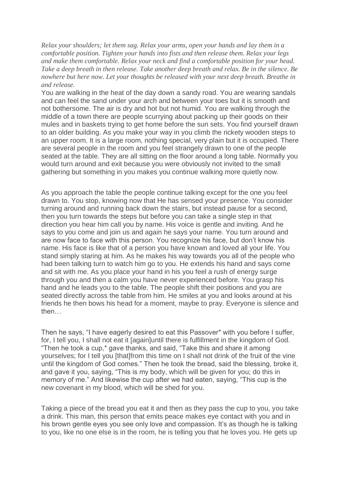*Relax your shoulders; let them sag. Relax your arms, open your hands and lay them in a comfortable position. Tighten your hands into fists and then release them. Relax your legs and make them comfortable. Relax your neck and find a comfortable position for your head. Take a deep breath in then release. Take another deep breath and relax. Be in the silence. Be nowhere but here now. Let your thoughts be released with your next deep breath. Breathe in and release.*

You are walking in the heat of the day down a sandy road. You are wearing sandals and can feel the sand under your arch and between your toes but it is smooth and not bothersome. The air is dry and hot but not humid. You are walking through the middle of a town there are people scurrying about packing up their goods on their mules and in baskets trying to get home before the sun sets. You find yourself drawn to an older building. As you make your way in you climb the rickety wooden steps to an upper room. It is a large room, nothing special, very plain but it is occupied. There are several people in the room and you feel strangely drawn to one of the people seated at the table. They are all sitting on the floor around a long table. Normally you would turn around and exit because you were obviously not invited to the small gathering but something in you makes you continue walking more quietly now.

As you approach the table the people continue talking except for the one you feel drawn to. You stop, knowing now that He has sensed your presence. You consider turning around and running back down the stairs, but instead pause for a second, then you turn towards the steps but before you can take a single step in that direction you hear him call you by name. His voice is gentle and inviting. And he says to you come and join us and again he says your name. You turn around and are now face to face with this person. You recognize his face, but don't know his name. His face is like that of a person you have known and loved all your life. You stand simply staring at him. As he makes his way towards you all of the people who had been talking turn to watch him go to you. He extends his hand and says come and sit with me. As you place your hand in his you feel a rush of energy surge through you and then a calm you have never experienced before. You grasp his hand and he leads you to the table. The people shift their positions and you are seated directly across the table from him. He smiles at you and looks around at his friends he then bows his head for a moment, maybe to pray. Everyone is silence and then…

Then he says, "I have eagerly desired to eat this Passover\* with you before I suffer, for, I tell you, I shall not eat it [again]until there is fulfillment in the kingdom of God. "Then he took a cup,\* gave thanks, and said, "Take this and share it among yourselves; for I tell you [that]from this time on I shall not drink of the fruit of the vine until the kingdom of God comes." Then he took the bread, said the blessing, broke it, and gave it you, saying, "This is my body, which will be given for you; do this in memory of me." And likewise the cup after we had eaten, saying, "This cup is the new covenant in my blood, which will be shed for you.

Taking a piece of the bread you eat it and then as they pass the cup to you, you take a drink. This man, this person that emits peace makes eye contact with you and in his brown gentle eyes you see only love and compassion. It's as though he is talking to you, like no one else is in the room, he is telling you that he loves you. He gets up